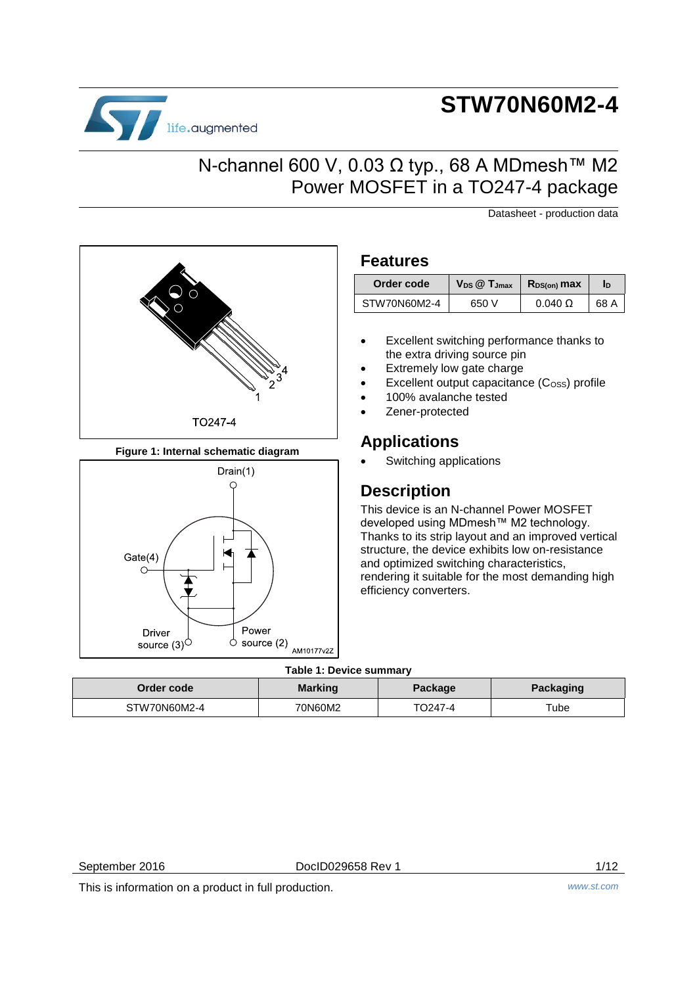# **STW70N60M2-4**

# N-channel 600 V, 0.03 Ω typ., 68 A MDmesh™ M2 Power MOSFET in a TO247-4 package

Datasheet - production data

# TO247-4

life.augmented

**Figure 1: Internal schematic diagram**



## **Features**

| Order code   | $V_{DS}$ $@$ $T_{Jmax}$ | $R_{DS(on)}$ max | In   |
|--------------|-------------------------|------------------|------|
| STW70N60M2-4 | 650 V                   | $0.040 \Omega$   | 68 A |

- Excellent switching performance thanks to the extra driving source pin
- Extremely low gate charge
- Excellent output capacitance (C<sub>OSS</sub>) profile
- 100% avalanche tested
- Zener-protected

# **Applications**

Switching applications

# **Description**

This device is an N-channel Power MOSFET developed using MDmesh™ M2 technology. Thanks to its strip layout and an improved vertical structure, the device exhibits low on-resistance and optimized switching characteristics, rendering it suitable for the most demanding high efficiency converters.

### **Table 1: Device summary**

| Order code   | <b>Marking</b> | Package | Packaging |
|--------------|----------------|---------|-----------|
| STW70N60M2-4 | 70N60M2        | TO247-4 | Tube      |

September 2016 **DociD029658 Rev 1** 1/12

This is information on a product in full production. *www.st.com*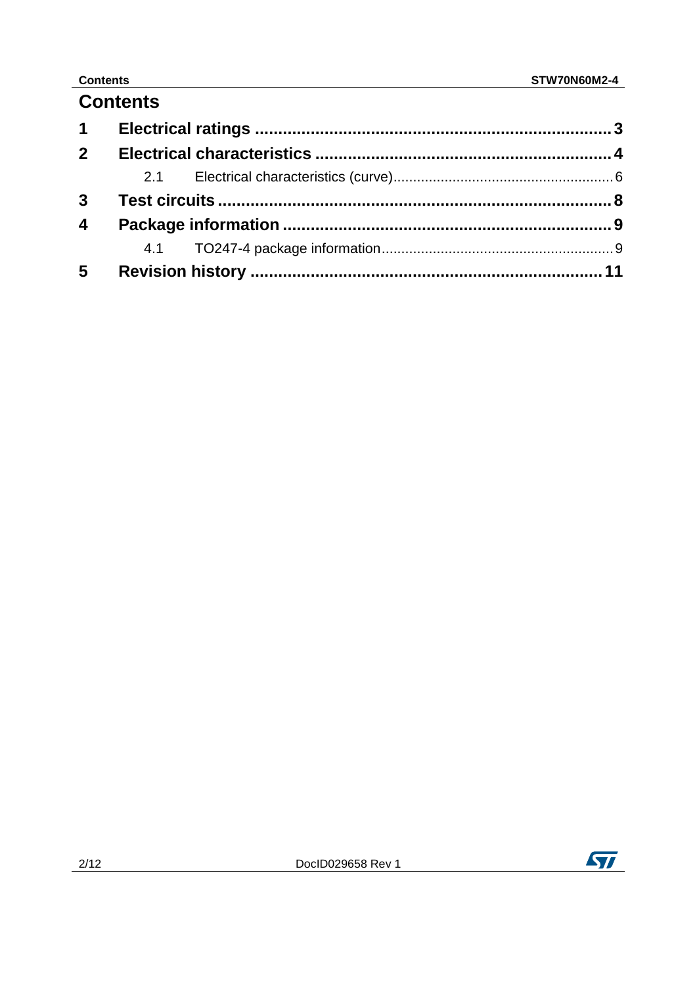# **Contents Contents**

# **Contents**

| 2 <sup>1</sup> |  |  |
|----------------|--|--|
|                |  |  |
|                |  |  |
| $\overline{4}$ |  |  |
|                |  |  |
| 5 <sup>5</sup> |  |  |

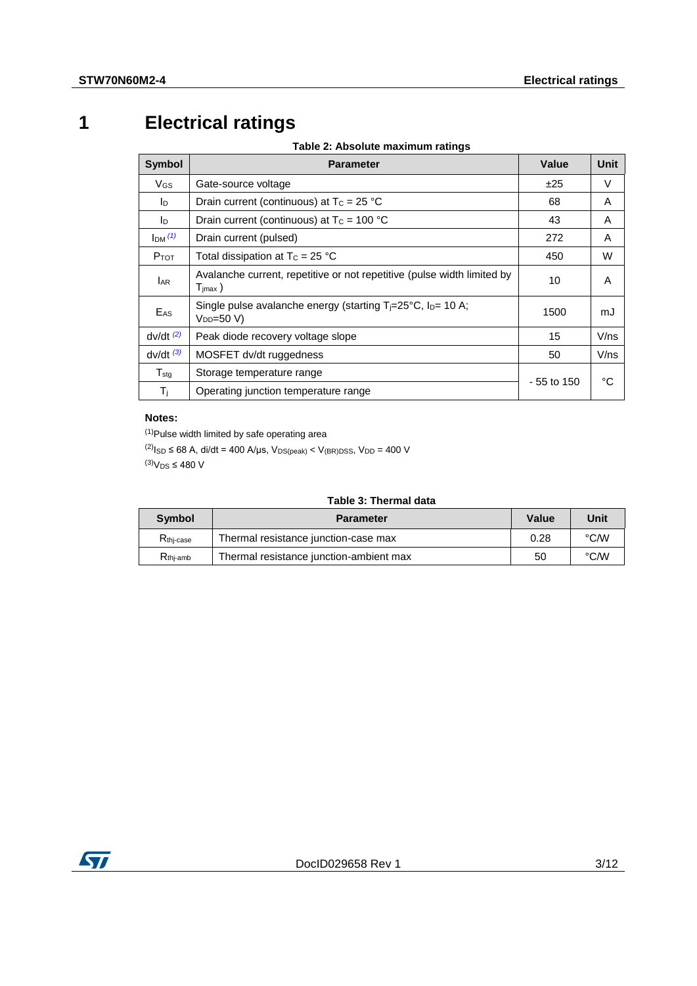# **1 Electrical ratings**

**Table 2: Absolute maximum ratings**

<span id="page-2-0"></span>

| <b>Symbol</b>     | <b>Parameter</b>                                                                               | Value        | Unit |
|-------------------|------------------------------------------------------------------------------------------------|--------------|------|
| VGS               | Gate-source voltage                                                                            | ±25          | V    |
| In.               | Drain current (continuous) at $T_c = 25 °C$                                                    | 68           | A    |
| <b>I</b> D        | Drain current (continuous) at $T_c = 100 °C$                                                   | 43           | A    |
| Im <sup>(1)</sup> | Drain current (pulsed)                                                                         | 272          | A    |
| $P_{TOT}$         | Total dissipation at $T_c = 25 °C$                                                             | 450          | W    |
| <b>LAR</b>        | Avalanche current, repetitive or not repetitive (pulse width limited by<br>$T_{\text{imax}}$ ) | 10           | A    |
| E <sub>AS</sub>   | Single pulse avalanche energy (starting $T = 25^{\circ}C$ , $I_D = 10 A$ ;<br>$V_{DD} = 50 V$  | 1500         | mJ   |
| $dv/dt$ $(2)$     | Peak diode recovery voltage slope                                                              | 15           | V/ns |
| $dv/dt$ $(3)$     | MOSFET dv/dt ruggedness                                                                        | 50           | V/ns |
| $T_{\text{std}}$  | Storage temperature range                                                                      |              |      |
| $T_{j}$           | Operating junction temperature range                                                           | $-55$ to 150 | °C   |

### **Notes:**

<span id="page-2-1"></span> $(1)$ Pulse width limited by safe operating area

<span id="page-2-3"></span><span id="page-2-2"></span> $^{(2)}$ I<sub>SD</sub> ≤ 68 A, di/dt = 400 A/µs, V<sub>DS(peak)</sub> < V<sub>(BR)</sub>pss, V<sub>DD</sub> = 400 V  $^{(3)}V_{DS} \leq 480$  V

| Table 3: Thermal data |
|-----------------------|
|-----------------------|

| <b>Symbol</b>         | <b>Parameter</b>                        | Value | Unit |
|-----------------------|-----------------------------------------|-------|------|
| R <sub>thi-case</sub> | Thermal resistance junction-case max    | 0.28  | °C∕W |
| $R_{\text{thi-amb}}$  | Thermal resistance junction-ambient max | 50    | °C∕W |

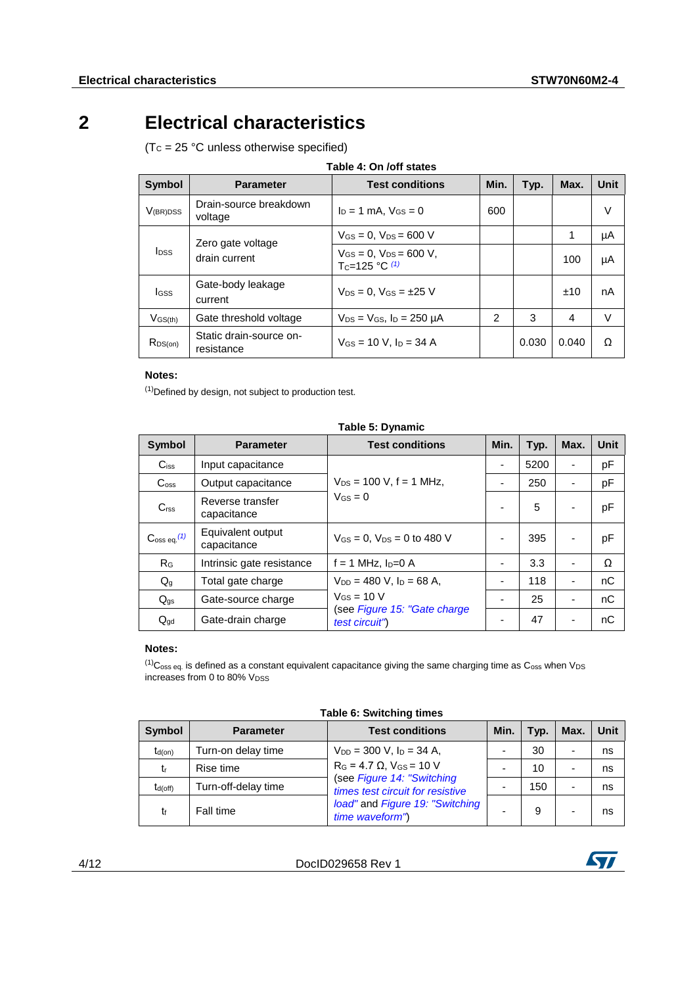# **2 Electrical characteristics**

<span id="page-3-0"></span> $(Tc = 25 °C$  unless otherwise specified)

| <b>Symbol</b>    | <b>Parameter</b>                      | <b>Test conditions</b>                                           | Min.           | Typ.  | Max.    | <b>Unit</b> |
|------------------|---------------------------------------|------------------------------------------------------------------|----------------|-------|---------|-------------|
| $V_{(BR)DSS}$    | Drain-source breakdown<br>voltage     | $I_D = 1$ mA, $V_{GS} = 0$                                       | 600            |       |         | V           |
| $I_{\text{DSS}}$ | Zero gate voltage                     | $V_{GS} = 0$ , $V_{DS} = 600$ V                                  |                |       | 1<br>μA |             |
|                  | drain current                         | $V_{GS} = 0$ , $V_{DS} = 600$ V,<br>T <sub>C</sub> =125 °C $(1)$ |                |       | 100     | μA          |
| lgss             | Gate-body leakage<br>current          | $V_{DS} = 0.$ $V_{GS} = \pm 25$ V                                |                |       | ±10     | nA          |
| $V$ GS(th)       | Gate threshold voltage                | $V_{DS}$ = $V_{GS}$ , $I_D$ = 250 $\mu$ A                        | $\overline{2}$ | 3     | 4       | $\vee$      |
| $R_{DS(on)}$     | Static drain-source on-<br>resistance | $V$ <sub>GS</sub> = 10 V, $I_D$ = 34 A                           |                | 0.030 | 0.040   | Ω           |

### **Table 4: On /off states**

### **Notes:**

<span id="page-3-1"></span>(1)Defined by design, not subject to production test.

| <b>Symbol</b>                 | <b>Parameter</b>                 | <b>Test conditions</b>                         | Min.                     | Typ. | Max.                     | <b>Unit</b> |
|-------------------------------|----------------------------------|------------------------------------------------|--------------------------|------|--------------------------|-------------|
| $C$ <sub>iss</sub>            | Input capacitance                |                                                | ٠                        | 5200 |                          | pF          |
| C <sub>oss</sub>              | Output capacitance               | $V_{DS} = 100$ V, f = 1 MHz,                   |                          | 250  |                          | pF          |
| C <sub>rss</sub>              | Reverse transfer<br>capacitance  | $V_{GS} = 0$                                   |                          | 5    |                          | pF          |
| $\mathrm{C}$ oss eq. $^{(1)}$ | Equivalent output<br>capacitance | $V_{GS} = 0$ . $V_{DS} = 0$ to 480 V           | ۰                        | 395  | ٠                        | pF          |
| R <sub>G</sub>                | Intrinsic gate resistance        | $f = 1$ MHz, $I_D = 0$ A                       | ۰                        | 3.3  | $\overline{\phantom{0}}$ | Ω           |
| $Q_g$                         | Total gate charge                | $V_{DD} = 480$ V, $I_D = 68$ A,                |                          | 118  | $\overline{\phantom{0}}$ | nC          |
| $Q_{gs}$                      | Gate-source charge               | $V$ <sub>GS</sub> = 10 V                       |                          | 25   |                          | nC          |
| $Q_{gd}$                      | Gate-drain charge                | (see Figure 15: "Gate charge<br>test circuit") | $\overline{\phantom{0}}$ | 47   | ٠                        | nC          |

### **Table 5: Dynamic**

### **Notes:**

<span id="page-3-2"></span> $(1)$ C<sub>oss eq.</sub> is defined as a constant equivalent capacitance giving the same charging time as C<sub>oss</sub> when V<sub>DS</sub> increases from 0 to 80% VDSS

| <b>Symbol</b> | <b>Parameter</b>    | <b>Test conditions</b>                                         | Min. | Typ. | Max. | Unit |
|---------------|---------------------|----------------------------------------------------------------|------|------|------|------|
| $t_{d(on)}$   | Turn-on delay time  | $V_{DD} = 300$ V, $I_D = 34$ A,                                |      | 30   |      | ns   |
| tr            | Rise time           | $R_G = 4.7 \Omega$ , $V_{GS} = 10 V$                           |      | 10   |      | ns   |
| $t_{d(off)}$  | Turn-off-delay time | (see Figure 14: "Switching<br>times test circuit for resistive |      | 150  |      | ns   |
| t۴            | Fall time           | load" and Figure 19: "Switching<br>time waveform")             |      | 9    |      | ns   |



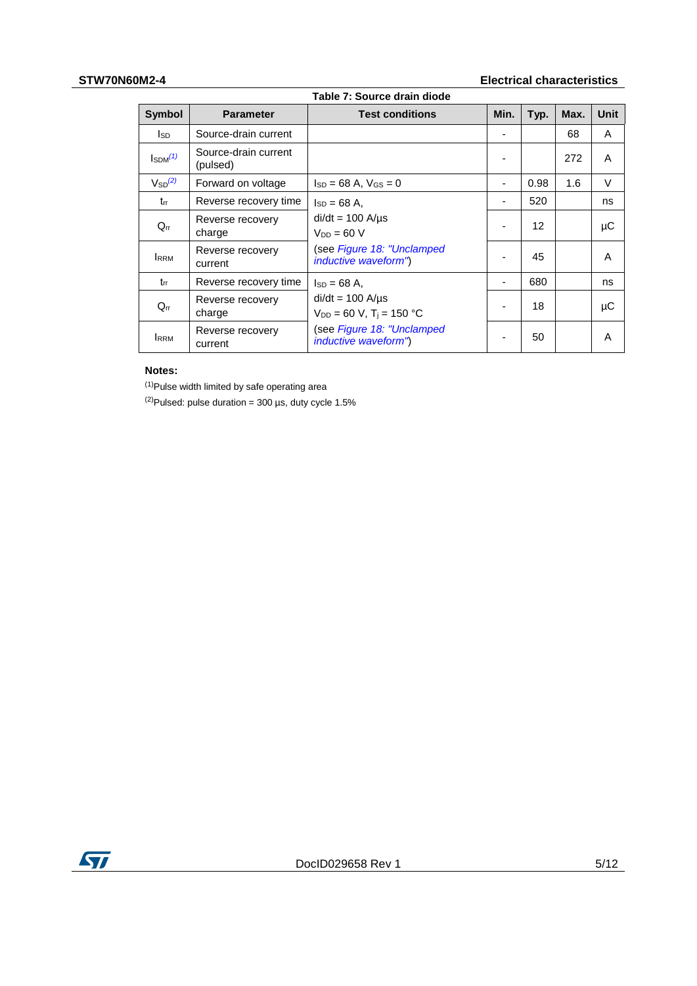### **STW70N60M2-4 Electrical characteristics**

| <b>Symbol</b>            | <b>Parameter</b>                 | <b>Test conditions</b>                                               | Min. | Typ. | Max. | <b>Unit</b> |
|--------------------------|----------------------------------|----------------------------------------------------------------------|------|------|------|-------------|
| lsd.                     | Source-drain current             |                                                                      |      |      | 68   | A           |
| $I_{SDM}$ <sup>(1)</sup> | Source-drain current<br>(pulsed) |                                                                      |      |      | 272  | A           |
| $V_{SD}^{(2)}$           | Forward on voltage               | $Is_D = 68 A$ , $V_{GS} = 0$                                         |      | 0.98 | 1.6  | V           |
| trr                      | Reverse recovery time            | $I_{SD} = 68$ A,                                                     |      | 520  |      | ns          |
| $Q_{rr}$                 | Reverse recovery<br>charge       | $di/dt = 100$ A/ $\mu$ s<br>$V_{DD} = 60 V$                          |      | 12   |      | μC          |
| <b>IRRM</b>              | Reverse recovery<br>current      | (see Figure 18: "Unclamped<br><i>inductive waveform"</i> )           |      | 45   |      | A           |
| $t_{rr}$                 | Reverse recovery time            | $Is_D = 68 A$ ,                                                      |      | 680  |      | ns          |
| $Q_{rr}$                 | Reverse recovery<br>charge       | $di/dt = 100$ A/ $\mu$ s<br>$V_{DD} = 60$ V, T <sub>i</sub> = 150 °C |      | 18   |      | μC          |
| <b>IRRM</b>              | Reverse recovery<br>current      | (see Figure 18: "Unclamped<br><i>inductive waveform"</i> )           |      | 50   |      | A           |

### **Notes:**

<span id="page-4-1"></span> $(1)$ Pulse width limited by safe operating area

<span id="page-4-2"></span><span id="page-4-0"></span> $(2)$ Pulsed: pulse duration = 300 µs, duty cycle 1.5%

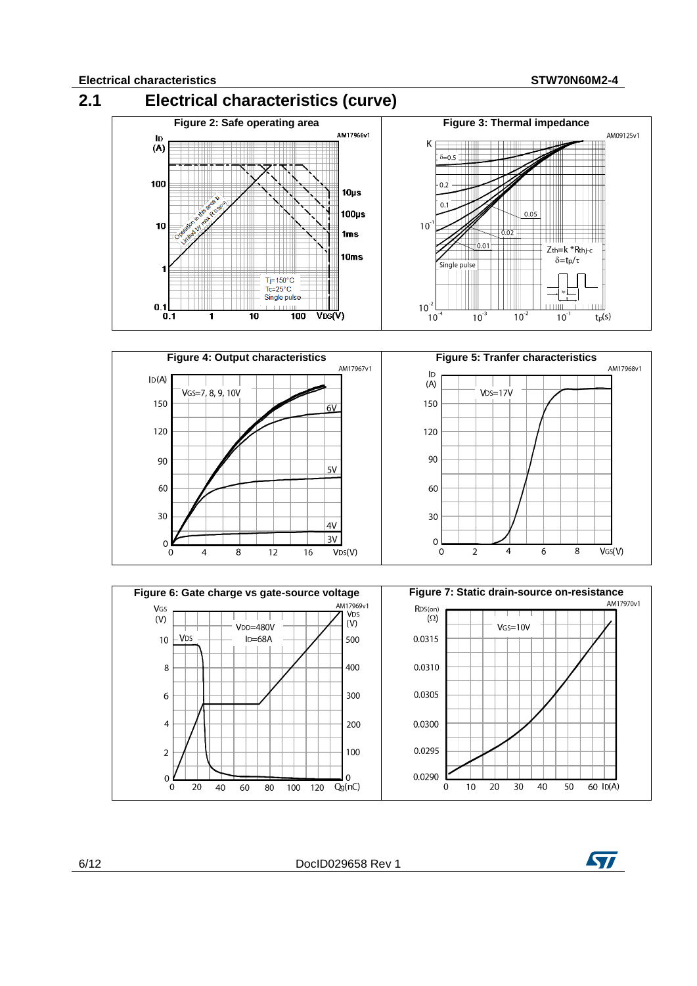

 $Q<sub>g</sub>(nC)$ 

 $\frac{1}{20}$ 

100

 $\overline{10}$ 

 $\overline{0}$ 

 $\overline{20}$ 

 $\overline{30}$ 

 $\overline{40}$ 

 $\overline{50}$ 



 $60$  ID(A)

 $\overline{20}$ 

 $\overline{0}$ 

 $\overline{40}$ 

60

80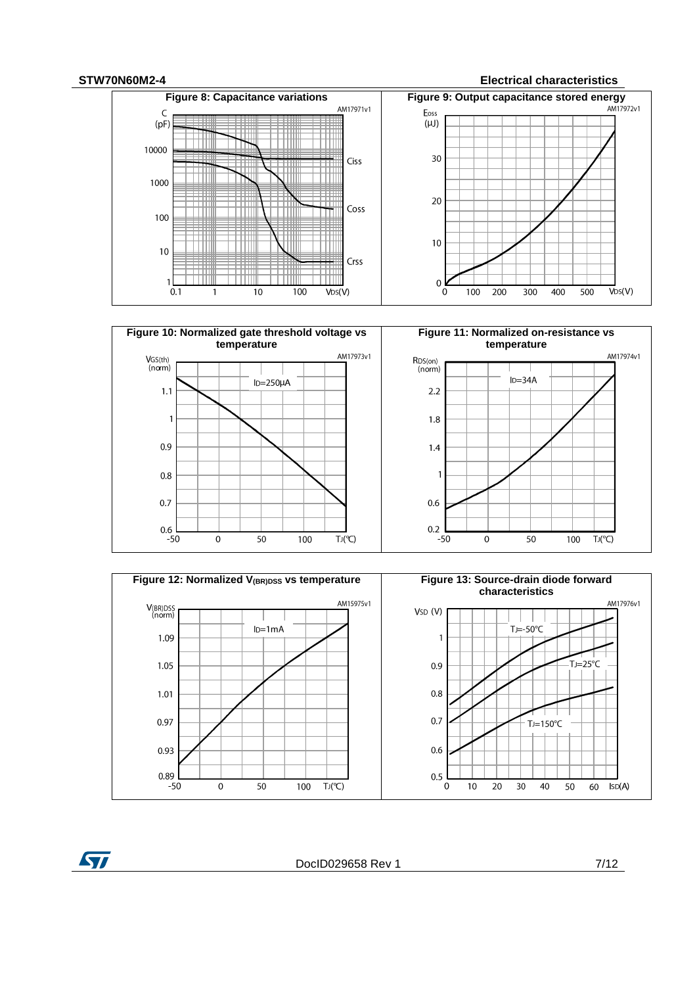### **STW70N60M2-4 Electrical characteristics**









**ST** 

DocID029658 Rev 1 7/12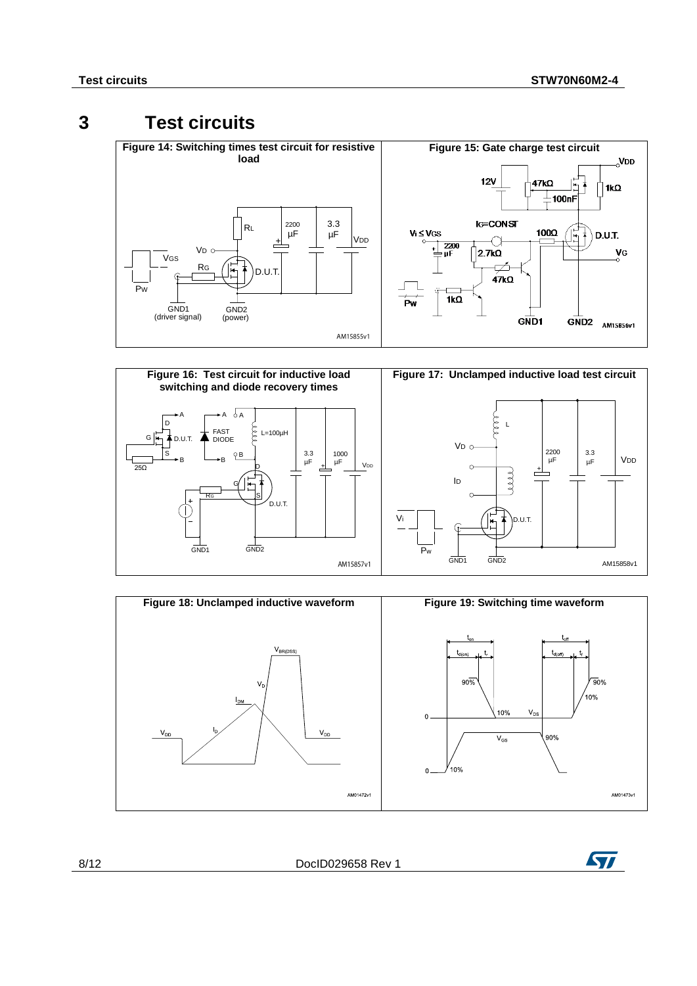# **3 Test circuits**

<span id="page-7-2"></span><span id="page-7-1"></span><span id="page-7-0"></span>



<span id="page-7-4"></span><span id="page-7-3"></span>



8/12 DocID029658 Rev 1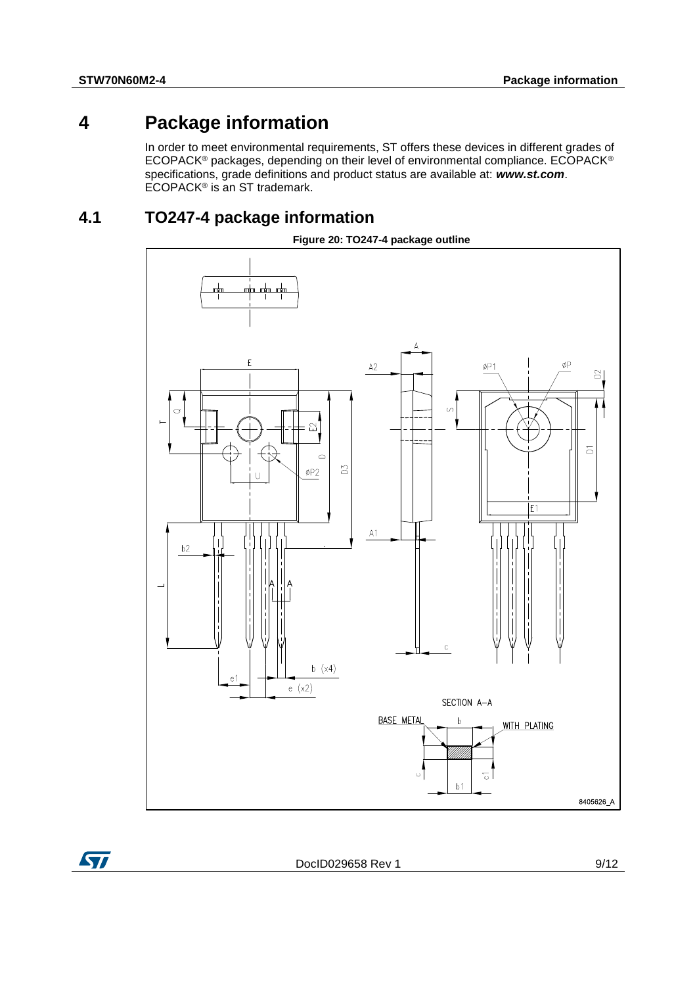ST

# **4 Package information**

<span id="page-8-0"></span>In order to meet environmental requirements, ST offers these devices in different grades of ECOPACK® packages, depending on their level of environmental compliance. ECOPACK® specifications, grade definitions and product status are available at: *www.st.com*. ECOPACK<sup>®</sup> is an ST trademark.

# **4.1 TO247-4 package information**

<span id="page-8-1"></span>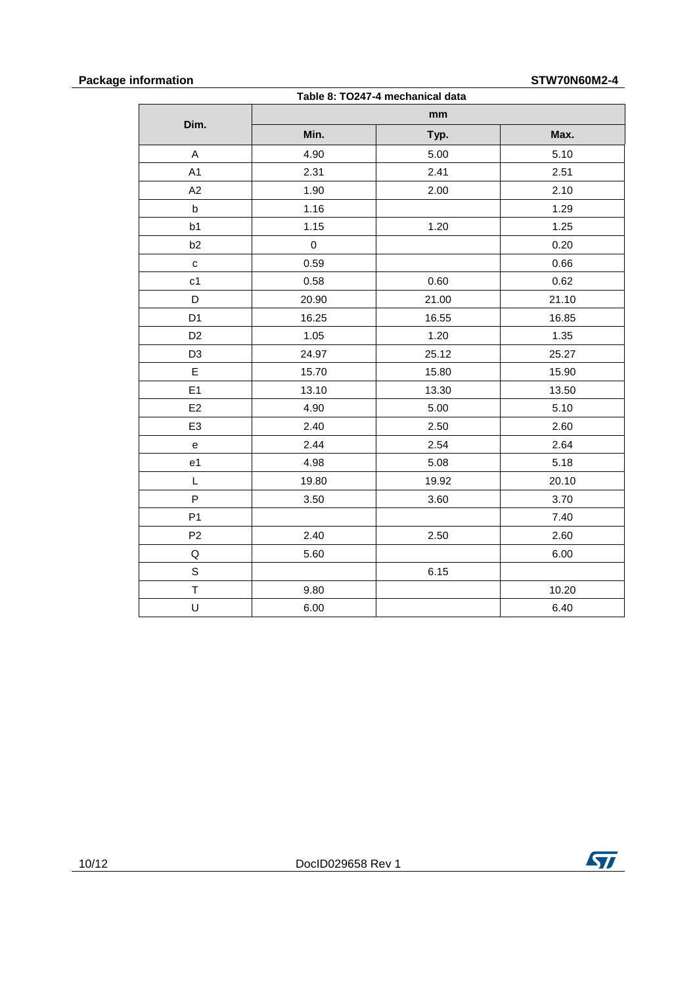### **Package information STW70N60M2-4**

| Table 8: TO247-4 mechanical data |             |       |       |  |  |
|----------------------------------|-------------|-------|-------|--|--|
| Dim.                             |             | mm    |       |  |  |
|                                  | Min.        | Typ.  | Max.  |  |  |
| A                                | 4.90        | 5.00  | 5.10  |  |  |
| A1                               | 2.31        | 2.41  | 2.51  |  |  |
| A2                               | 1.90        | 2.00  | 2.10  |  |  |
| $\sf b$                          | 1.16        |       | 1.29  |  |  |
| b <sub>1</sub>                   | 1.15        | 1.20  | 1.25  |  |  |
| b <sub>2</sub>                   | $\mathbf 0$ |       | 0.20  |  |  |
| $\mathbf{C}$                     | 0.59        |       | 0.66  |  |  |
| c <sub>1</sub>                   | 0.58        | 0.60  | 0.62  |  |  |
| D                                | 20.90       | 21.00 | 21.10 |  |  |
| D <sub>1</sub>                   | 16.25       | 16.55 | 16.85 |  |  |
| D <sub>2</sub>                   | 1.05        | 1.20  | 1.35  |  |  |
| D <sub>3</sub>                   | 24.97       | 25.12 | 25.27 |  |  |
| $\mathsf E$                      | 15.70       | 15.80 | 15.90 |  |  |
| E1                               | 13.10       | 13.30 | 13.50 |  |  |
| E <sub>2</sub>                   | 4.90        | 5.00  | 5.10  |  |  |
| E <sub>3</sub>                   | 2.40        | 2.50  | 2.60  |  |  |
| е                                | 2.44        | 2.54  | 2.64  |  |  |
| e1                               | 4.98        | 5.08  | 5.18  |  |  |
| L                                | 19.80       | 19.92 | 20.10 |  |  |
| P                                | 3.50        | 3.60  | 3.70  |  |  |
| P <sub>1</sub>                   |             |       | 7.40  |  |  |
| P <sub>2</sub>                   | 2.40        | 2.50  | 2.60  |  |  |
| Q                                | 5.60        |       | 6.00  |  |  |
| $\mathsf S$                      |             | 6.15  |       |  |  |
| $\mathsf T$                      | 9.80        |       | 10.20 |  |  |
| U                                | 6.00        |       | 6.40  |  |  |

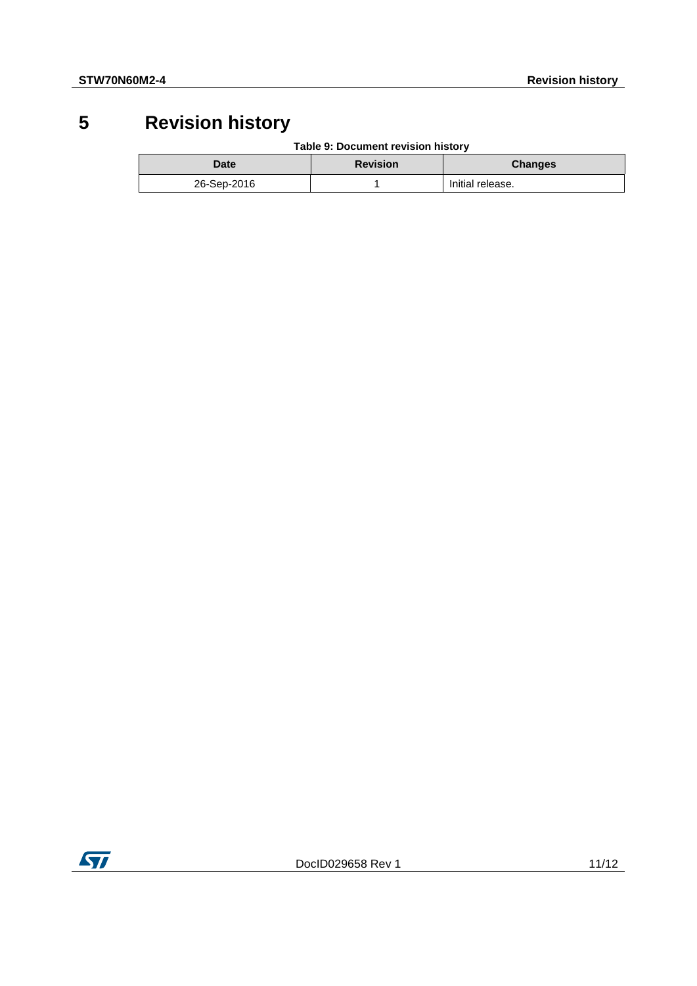# **5 Revision history**

**Table 9: Document revision history**

<span id="page-10-0"></span>

| Date        | <b>Revision</b> | <b>Changes</b>   |
|-------------|-----------------|------------------|
| 26-Sep-2016 |                 | Initial release. |